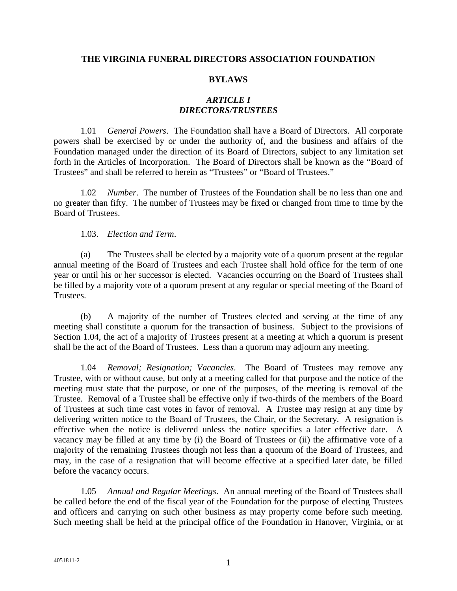### **THE VIRGINIA FUNERAL DIRECTORS ASSOCIATION FOUNDATION**

#### **BYLAWS**

# *ARTICLE I DIRECTORS/TRUSTEES*

1.01 *General Powers*. The Foundation shall have a Board of Directors. All corporate powers shall be exercised by or under the authority of, and the business and affairs of the Foundation managed under the direction of its Board of Directors, subject to any limitation set forth in the Articles of Incorporation. The Board of Directors shall be known as the "Board of Trustees" and shall be referred to herein as "Trustees" or "Board of Trustees."

1.02 *Number*. The number of Trustees of the Foundation shall be no less than one and no greater than fifty. The number of Trustees may be fixed or changed from time to time by the Board of Trustees.

1.03. *Election and Term*.

(a) The Trustees shall be elected by a majority vote of a quorum present at the regular annual meeting of the Board of Trustees and each Trustee shall hold office for the term of one year or until his or her successor is elected. Vacancies occurring on the Board of Trustees shall be filled by a majority vote of a quorum present at any regular or special meeting of the Board of Trustees.

(b) A majority of the number of Trustees elected and serving at the time of any meeting shall constitute a quorum for the transaction of business. Subject to the provisions of Section 1.04, the act of a majority of Trustees present at a meeting at which a quorum is present shall be the act of the Board of Trustees. Less than a quorum may adjourn any meeting.

1.04 *Removal; Resignation; Vacancies*. The Board of Trustees may remove any Trustee, with or without cause, but only at a meeting called for that purpose and the notice of the meeting must state that the purpose, or one of the purposes, of the meeting is removal of the Trustee. Removal of a Trustee shall be effective only if two-thirds of the members of the Board of Trustees at such time cast votes in favor of removal. A Trustee may resign at any time by delivering written notice to the Board of Trustees, the Chair, or the Secretary. A resignation is effective when the notice is delivered unless the notice specifies a later effective date. A vacancy may be filled at any time by (i) the Board of Trustees or (ii) the affirmative vote of a majority of the remaining Trustees though not less than a quorum of the Board of Trustees, and may, in the case of a resignation that will become effective at a specified later date, be filled before the vacancy occurs.

1.05 *Annual and Regular Meetings*. An annual meeting of the Board of Trustees shall be called before the end of the fiscal year of the Foundation for the purpose of electing Trustees and officers and carrying on such other business as may property come before such meeting. Such meeting shall be held at the principal office of the Foundation in Hanover, Virginia, or at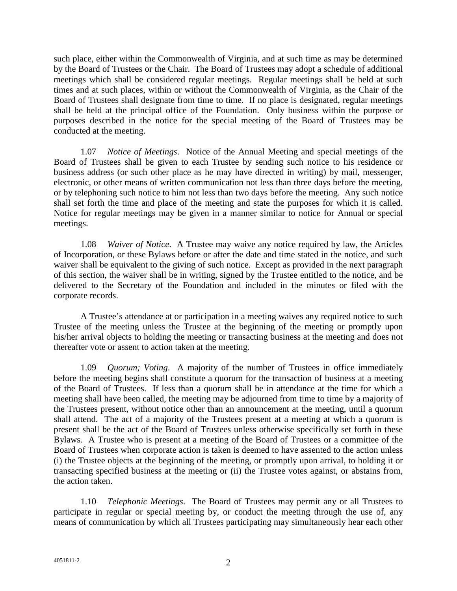such place, either within the Commonwealth of Virginia, and at such time as may be determined by the Board of Trustees or the Chair. The Board of Trustees may adopt a schedule of additional meetings which shall be considered regular meetings. Regular meetings shall be held at such times and at such places, within or without the Commonwealth of Virginia, as the Chair of the Board of Trustees shall designate from time to time. If no place is designated, regular meetings shall be held at the principal office of the Foundation. Only business within the purpose or purposes described in the notice for the special meeting of the Board of Trustees may be conducted at the meeting.

1.07 *Notice of Meetings*. Notice of the Annual Meeting and special meetings of the Board of Trustees shall be given to each Trustee by sending such notice to his residence or business address (or such other place as he may have directed in writing) by mail, messenger, electronic, or other means of written communication not less than three days before the meeting, or by telephoning such notice to him not less than two days before the meeting. Any such notice shall set forth the time and place of the meeting and state the purposes for which it is called. Notice for regular meetings may be given in a manner similar to notice for Annual or special meetings.

1.08 *Waiver of Notice*. A Trustee may waive any notice required by law, the Articles of Incorporation, or these Bylaws before or after the date and time stated in the notice, and such waiver shall be equivalent to the giving of such notice. Except as provided in the next paragraph of this section, the waiver shall be in writing, signed by the Trustee entitled to the notice, and be delivered to the Secretary of the Foundation and included in the minutes or filed with the corporate records.

A Trustee's attendance at or participation in a meeting waives any required notice to such Trustee of the meeting unless the Trustee at the beginning of the meeting or promptly upon his/her arrival objects to holding the meeting or transacting business at the meeting and does not thereafter vote or assent to action taken at the meeting.

1.09 *Quorum; Voting*. A majority of the number of Trustees in office immediately before the meeting begins shall constitute a quorum for the transaction of business at a meeting of the Board of Trustees. If less than a quorum shall be in attendance at the time for which a meeting shall have been called, the meeting may be adjourned from time to time by a majority of the Trustees present, without notice other than an announcement at the meeting, until a quorum shall attend. The act of a majority of the Trustees present at a meeting at which a quorum is present shall be the act of the Board of Trustees unless otherwise specifically set forth in these Bylaws. A Trustee who is present at a meeting of the Board of Trustees or a committee of the Board of Trustees when corporate action is taken is deemed to have assented to the action unless (i) the Trustee objects at the beginning of the meeting, or promptly upon arrival, to holding it or transacting specified business at the meeting or (ii) the Trustee votes against, or abstains from, the action taken.

1.10 *Telephonic Meetings*. The Board of Trustees may permit any or all Trustees to participate in regular or special meeting by, or conduct the meeting through the use of, any means of communication by which all Trustees participating may simultaneously hear each other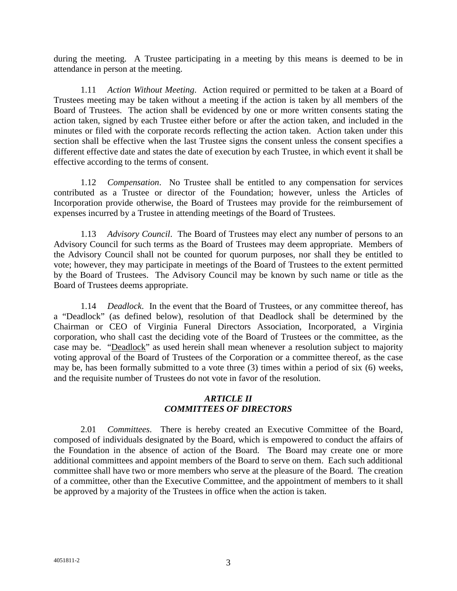during the meeting. A Trustee participating in a meeting by this means is deemed to be in attendance in person at the meeting.

1.11 *Action Without Meeting*. Action required or permitted to be taken at a Board of Trustees meeting may be taken without a meeting if the action is taken by all members of the Board of Trustees. The action shall be evidenced by one or more written consents stating the action taken, signed by each Trustee either before or after the action taken, and included in the minutes or filed with the corporate records reflecting the action taken. Action taken under this section shall be effective when the last Trustee signs the consent unless the consent specifies a different effective date and states the date of execution by each Trustee, in which event it shall be effective according to the terms of consent.

1.12 *Compensation*. No Trustee shall be entitled to any compensation for services contributed as a Trustee or director of the Foundation; however, unless the Articles of Incorporation provide otherwise, the Board of Trustees may provide for the reimbursement of expenses incurred by a Trustee in attending meetings of the Board of Trustees.

1.13 *Advisory Council*. The Board of Trustees may elect any number of persons to an Advisory Council for such terms as the Board of Trustees may deem appropriate. Members of the Advisory Council shall not be counted for quorum purposes, nor shall they be entitled to vote; however, they may participate in meetings of the Board of Trustees to the extent permitted by the Board of Trustees. The Advisory Council may be known by such name or title as the Board of Trustees deems appropriate.

1.14 *Deadlock*. In the event that the Board of Trustees, or any committee thereof, has a "Deadlock" (as defined below), resolution of that Deadlock shall be determined by the Chairman or CEO of Virginia Funeral Directors Association, Incorporated, a Virginia corporation, who shall cast the deciding vote of the Board of Trustees or the committee, as the case may be. "Deadlock" as used herein shall mean whenever a resolution subject to majority voting approval of the Board of Trustees of the Corporation or a committee thereof, as the case may be, has been formally submitted to a vote three (3) times within a period of six (6) weeks, and the requisite number of Trustees do not vote in favor of the resolution.

## *ARTICLE II COMMITTEES OF DIRECTORS*

2.01 *Committees*. There is hereby created an Executive Committee of the Board, composed of individuals designated by the Board, which is empowered to conduct the affairs of the Foundation in the absence of action of the Board. The Board may create one or more additional committees and appoint members of the Board to serve on them. Each such additional committee shall have two or more members who serve at the pleasure of the Board. The creation of a committee, other than the Executive Committee, and the appointment of members to it shall be approved by a majority of the Trustees in office when the action is taken.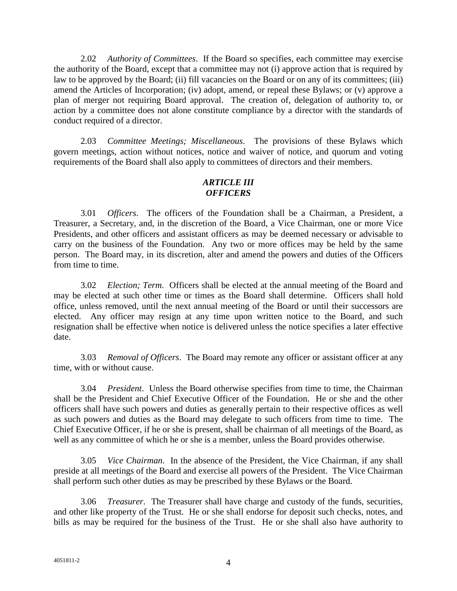2.02 *Authority of Committees*. If the Board so specifies, each committee may exercise the authority of the Board, except that a committee may not (i) approve action that is required by law to be approved by the Board; (ii) fill vacancies on the Board or on any of its committees; (iii) amend the Articles of Incorporation; (iv) adopt, amend, or repeal these Bylaws; or (v) approve a plan of merger not requiring Board approval. The creation of, delegation of authority to, or action by a committee does not alone constitute compliance by a director with the standards of conduct required of a director.

2.03 *Committee Meetings; Miscellaneous*. The provisions of these Bylaws which govern meetings, action without notices, notice and waiver of notice, and quorum and voting requirements of the Board shall also apply to committees of directors and their members.

### *ARTICLE III OFFICERS*

3.01 *Officers*. The officers of the Foundation shall be a Chairman, a President, a Treasurer, a Secretary, and, in the discretion of the Board, a Vice Chairman, one or more Vice Presidents, and other officers and assistant officers as may be deemed necessary or advisable to carry on the business of the Foundation. Any two or more offices may be held by the same person. The Board may, in its discretion, alter and amend the powers and duties of the Officers from time to time.

3.02 *Election; Term*. Officers shall be elected at the annual meeting of the Board and may be elected at such other time or times as the Board shall determine. Officers shall hold office, unless removed, until the next annual meeting of the Board or until their successors are elected. Any officer may resign at any time upon written notice to the Board, and such resignation shall be effective when notice is delivered unless the notice specifies a later effective date.

3.03 *Removal of Officers*. The Board may remote any officer or assistant officer at any time, with or without cause.

3.04 *President*. Unless the Board otherwise specifies from time to time, the Chairman shall be the President and Chief Executive Officer of the Foundation. He or she and the other officers shall have such powers and duties as generally pertain to their respective offices as well as such powers and duties as the Board may delegate to such officers from time to time. The Chief Executive Officer, if he or she is present, shall be chairman of all meetings of the Board, as well as any committee of which he or she is a member, unless the Board provides otherwise.

3.05 *Vice Chairman*. In the absence of the President, the Vice Chairman, if any shall preside at all meetings of the Board and exercise all powers of the President. The Vice Chairman shall perform such other duties as may be prescribed by these Bylaws or the Board.

3.06 *Treasurer*. The Treasurer shall have charge and custody of the funds, securities, and other like property of the Trust. He or she shall endorse for deposit such checks, notes, and bills as may be required for the business of the Trust. He or she shall also have authority to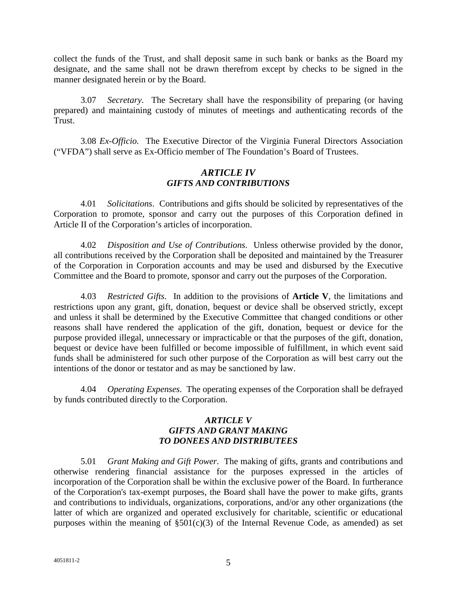collect the funds of the Trust, and shall deposit same in such bank or banks as the Board my designate, and the same shall not be drawn therefrom except by checks to be signed in the manner designated herein or by the Board.

3.07 *Secretary*. The Secretary shall have the responsibility of preparing (or having prepared) and maintaining custody of minutes of meetings and authenticating records of the Trust.

3.08 *Ex-Officio.* The Executive Director of the Virginia Funeral Directors Association ("VFDA") shall serve as Ex-Officio member of The Foundation's Board of Trustees.

## *ARTICLE IV GIFTS AND CONTRIBUTIONS*

4.01 *Solicitations*. Contributions and gifts should be solicited by representatives of the Corporation to promote, sponsor and carry out the purposes of this Corporation defined in Article II of the Corporation's articles of incorporation.

4.02 *Disposition and Use of Contributions*. Unless otherwise provided by the donor, all contributions received by the Corporation shall be deposited and maintained by the Treasurer of the Corporation in Corporation accounts and may be used and disbursed by the Executive Committee and the Board to promote, sponsor and carry out the purposes of the Corporation.

4.03 *Restricted Gifts*. In addition to the provisions of **Article V**, the limitations and restrictions upon any grant, gift, donation, bequest or device shall be observed strictly, except and unless it shall be determined by the Executive Committee that changed conditions or other reasons shall have rendered the application of the gift, donation, bequest or device for the purpose provided illegal, unnecessary or impracticable or that the purposes of the gift, donation, bequest or device have been fulfilled or become impossible of fulfillment, in which event said funds shall be administered for such other purpose of the Corporation as will best carry out the intentions of the donor or testator and as may be sanctioned by law.

4.04 *Operating Expenses*. The operating expenses of the Corporation shall be defrayed by funds contributed directly to the Corporation.

# *ARTICLE V GIFTS AND GRANT MAKING TO DONEES AND DISTRIBUTEES*

5.01 *Grant Making and Gift Power*. The making of gifts, grants and contributions and otherwise rendering financial assistance for the purposes expressed in the articles of incorporation of the Corporation shall be within the exclusive power of the Board. In furtherance of the Corporation's tax-exempt purposes, the Board shall have the power to make gifts, grants and contributions to individuals, organizations, corporations, and/or any other organizations (the latter of which are organized and operated exclusively for charitable, scientific or educational purposes within the meaning of  $\S501(c)(3)$  of the Internal Revenue Code, as amended) as set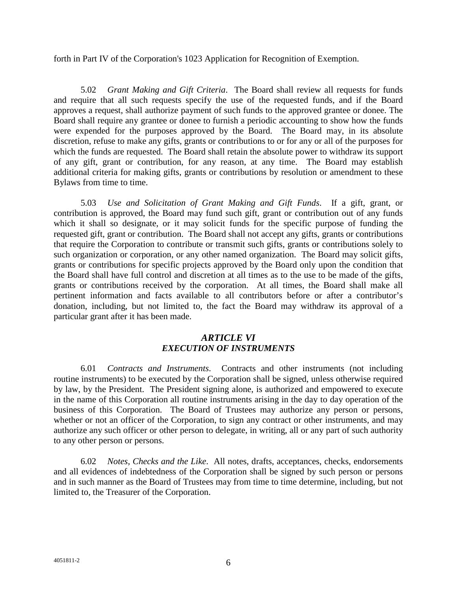forth in Part IV of the Corporation's 1023 Application for Recognition of Exemption.

5.02 *Grant Making and Gift Criteria*. The Board shall review all requests for funds and require that all such requests specify the use of the requested funds, and if the Board approves a request, shall authorize payment of such funds to the approved grantee or donee. The Board shall require any grantee or donee to furnish a periodic accounting to show how the funds were expended for the purposes approved by the Board. The Board may, in its absolute discretion, refuse to make any gifts, grants or contributions to or for any or all of the purposes for which the funds are requested. The Board shall retain the absolute power to withdraw its support of any gift, grant or contribution, for any reason, at any time. The Board may establish additional criteria for making gifts, grants or contributions by resolution or amendment to these Bylaws from time to time.

5.03 *Use and Solicitation of Grant Making and Gift Funds*. If a gift, grant, or contribution is approved, the Board may fund such gift, grant or contribution out of any funds which it shall so designate, or it may solicit funds for the specific purpose of funding the requested gift, grant or contribution. The Board shall not accept any gifts, grants or contributions that require the Corporation to contribute or transmit such gifts, grants or contributions solely to such organization or corporation, or any other named organization. The Board may solicit gifts, grants or contributions for specific projects approved by the Board only upon the condition that the Board shall have full control and discretion at all times as to the use to be made of the gifts, grants or contributions received by the corporation. At all times, the Board shall make all pertinent information and facts available to all contributors before or after a contributor's donation, including, but not limited to, the fact the Board may withdraw its approval of a particular grant after it has been made.

### *ARTICLE VI EXECUTION OF INSTRUMENTS*

6.01 *Contracts and Instruments*. Contracts and other instruments (not including routine instruments) to be executed by the Corporation shall be signed, unless otherwise required by law, by the President. The President signing alone, is authorized and empowered to execute in the name of this Corporation all routine instruments arising in the day to day operation of the business of this Corporation. The Board of Trustees may authorize any person or persons, whether or not an officer of the Corporation, to sign any contract or other instruments, and may authorize any such officer or other person to delegate, in writing, all or any part of such authority to any other person or persons.

6.02 *Notes, Checks and the Like*. All notes, drafts, acceptances, checks, endorsements and all evidences of indebtedness of the Corporation shall be signed by such person or persons and in such manner as the Board of Trustees may from time to time determine, including, but not limited to, the Treasurer of the Corporation.